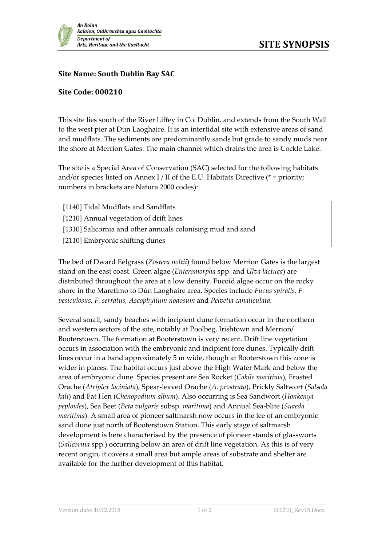## **Site Name: South Dublin Bay SAC**

## **Site Code: 000210**

This site lies south of the River Liffey in Co. Dublin, and extends from the South Wall to the west pier at Dun Laoghaire. It is an intertidal site with extensive areas of sand and mudflats. The sediments are predominantly sands but grade to sandy muds near the shore at Merrion Gates. The main channel which drains the area is Cockle Lake.

The site is a Special Area of Conservation (SAC) selected for the following habitats and/or species listed on Annex I / II of the E.U. Habitats Directive ( $*$  = priority; numbers in brackets are Natura 2000 codes):

[1140] Tidal Mudflats and Sandflats [1210] Annual vegetation of drift lines [1310] Salicornia and other annuals colonising mud and sand [2110] Embryonic shifting dunes

The bed of Dward Eelgrass (*Zostera noltii*) found below Merrion Gates is the largest stand on the east coast. Green algae (*Enteromorpha* spp. and *Ulva lactuca*) are distributed throughout the area at a low density. Fucoid algae occur on the rocky shore in the Maretimo to Dún Laoghaire area. Species include *Fucus spiralis, F. vesiculosus, F. serratus, Ascophyllum nodosum* and *Pelvetia canaliculata.*

Several small, sandy beaches with incipient dune formation occur in the northern and western sectors of the site, notably at Poolbeg, Irishtown and Merrion/ Booterstown. The formation at Booterstown is very recent. Drift line vegetation occurs in association with the embryonic and incipient fore dunes. Typically drift lines occur in a band approximately 5 m wide, though at Booterstown this zone is wider in places. The habitat occurs just above the High Water Mark and below the area of embryonic dune. Species present are Sea Rocket (*Cakile maritima*), Frosted Orache (*Atriplex laciniata*), Spear-leaved Orache (*A. prostrata*), Prickly Saltwort (*Salsola kali*) and Fat Hen (*Chenopodium album*). Also occurring is Sea Sandwort (*Honkenya peploides*), Sea Beet (*Beta vulgaris* subsp. *maritima*) and Annual Sea-blite (*Suaeda maritima*). A small area of pioneer saltmarsh now occurs in the lee of an embryonic sand dune just north of Booterstown Station. This early stage of saltmarsh development is here characterised by the presence of pioneer stands of glassworts (*Salicornia* spp.) occurring below an area of drift line vegetation. As this is of very recent origin, it covers a small area but ample areas of substrate and shelter are available for the further development of this habitat.